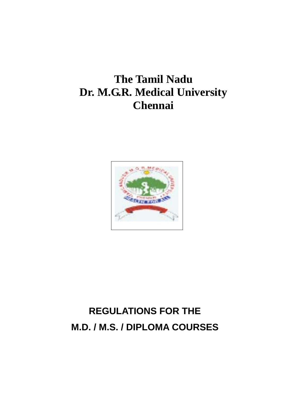## **The Tamil Nadu Dr. M.G.R. Medical University Chennai**



# **REGULATIONS FOR THE M.D. / M.S. / DIPLOMA COURSES**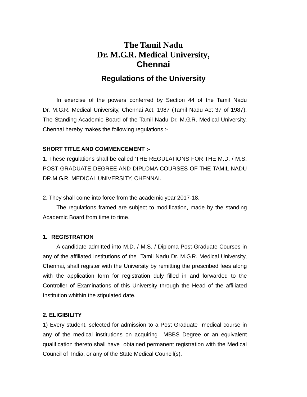## **The Tamil Nadu Dr. M.G.R. Medical University, Chennai**

### **Regulations of the University**

 In exercise of the powers conferred by Section 44 of the Tamil Nadu Dr. M.G.R. Medical University, Chennai Act, 1987 (Tamil Nadu Act 37 of 1987). The Standing Academic Board of the Tamil Nadu Dr. M.G.R. Medical University, Chennai hereby makes the following regulations :-

#### **SHORT TITLE AND COMMENCEMENT :-**

1. These regulations shall be called 'THE REGULATIONS FOR THE M.D. / M.S. POST GRADUATE DEGREE AND DIPLOMA COURSES OF THE TAMIL NADU DR.M.G.R. MEDICAL UNIVERSITY, CHENNAI.

2. They shall come into force from the academic year 2017-18.

 The regulations framed are subject to modification, made by the standing Academic Board from time to time.

#### **1. REGISTRATION**

A candidate admitted into M.D. / M.S. / Diploma Post-Graduate Courses in any of the affiliated institutions of the Tamil Nadu Dr. M.G.R. Medical University, Chennai, shall register with the University by remitting the prescribed fees along with the application form for registration duly filled in and forwarded to the Controller of Examinations of this University through the Head of the affiliated Institution whithin the stipulated date.

#### **2. ELIGIBILITY**

1) Every student, selected for admission to a Post Graduate medical course in any of the medical institutions on acquiring MBBS Degree or an equivalent qualification thereto shall have obtained permanent registration with the Medical Council of India, or any of the State Medical Council(s).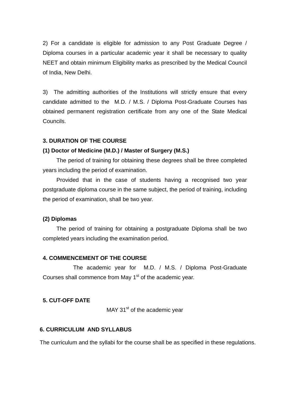2) For a candidate is eligible for admission to any Post Graduate Degree / Diploma courses in a particular academic year it shall be necessary to quality NEET and obtain minimum Eligibility marks as prescribed by the Medical Council of India, New Delhi.

3) The admitting authorities of the Institutions will strictly ensure that every candidate admitted to the M.D. / M.S. / Diploma Post-Graduate Courses has obtained permanent registration certificate from any one of the State Medical Councils.

#### **3. DURATION OF THE COURSE**

#### **(1) Doctor of Medicine (M.D.) / Master of Surgery (M.S.)**

 The period of training for obtaining these degrees shall be three completed years including the period of examination.

 Provided that in the case of students having a recognised two year postgraduate diploma course in the same subject, the period of training, including the period of examination, shall be two year.

#### **(2) Diplomas**

 The period of training for obtaining a postgraduate Diploma shall be two completed years including the examination period.

#### **4. COMMENCEMENT OF THE COURSE**

 The academic year for M.D. / M.S. / Diploma Post-Graduate Courses shall commence from May 1<sup>st</sup> of the academic year.

#### **5. CUT-OFF DATE**

MAY 31<sup>st</sup> of the academic year

#### **6. CURRICULUM AND SYLLABUS**

The curriculum and the syllabi for the course shall be as specified in these regulations.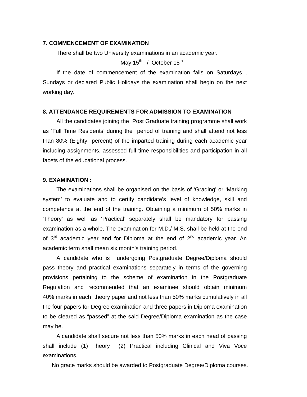#### **7. COMMENCEMENT OF EXAMINATION**

There shall be two University examinations in an academic year.

May  $15^{\text{th}}$  / October  $15^{\text{th}}$ 

 If the date of commencement of the examination falls on Saturdays , Sundays or declared Public Holidays the examination shall begin on the next working day.

#### **8. ATTENDANCE REQUIREMENTS FOR ADMISSION TO EXAMINATION**

 All the candidates joining the Post Graduate training programme shall work as 'Full Time Residents' during the period of training and shall attend not less than 80% (Eighty percent) of the imparted training during each academic year including assignments, assessed full time responsibilities and participation in all facets of the educational process.

#### **9. EXAMINATION :**

 The examinations shall be organised on the basis of 'Grading' or 'Marking system' to evaluate and to certify candidate's level of knowledge, skill and competence at the end of the training. Obtaining a minimum of 50% marks in 'Theory' as well as 'Practical' separately shall be mandatory for passing examination as a whole. The examination for M.D./ M.S. shall be held at the end of  $3<sup>rd</sup>$  academic year and for Diploma at the end of  $2<sup>nd</sup>$  academic year. An academic term shall mean six month's training period.

 A candidate who is undergoing Postgraduate Degree/Diploma should pass theory and practical examinations separately in terms of the governing provisions pertaining to the scheme of examination in the Postgraduate Regulation and recommended that an examinee should obtain minimum 40% marks in each theory paper and not less than 50% marks cumulatively in all the four papers for Degree examination and three papers in Diploma examination to be cleared as "passed" at the said Degree/Diploma examination as the case may be.

 A candidate shall secure not less than 50% marks in each head of passing shall include (1) Theory (2) Practical including Clinical and Viva Voce examinations.

No grace marks should be awarded to Postgraduate Degree/Diploma courses.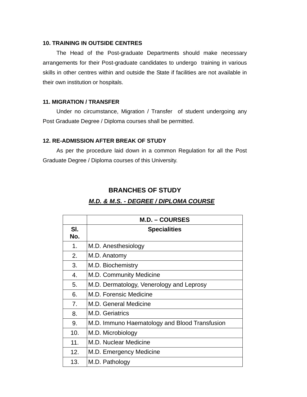#### **10. TRAINING IN OUTSIDE CENTRES**

 The Head of the Post-graduate Departments should make necessary arrangements for their Post-graduate candidates to undergo training in various skills in other centres within and outside the State if facilities are not available in their own institution or hospitals.

#### **11. MIGRATION / TRANSFER**

 Under no circumstance, Migration / Transfer of student undergoing any Post Graduate Degree / Diploma courses shall be permitted.

#### **12. RE-ADMISSION AFTER BREAK OF STUDY**

 As per the procedure laid down in a common Regulation for all the Post Graduate Degree / Diploma courses of this University.

### **BRANCHES OF STUDY**

#### *M.D. & M.S. - DEGREE / DIPLOMA COURSE*

|            | <b>M.D. – COURSES</b>                         |
|------------|-----------------------------------------------|
| SI.<br>No. | <b>Specialities</b>                           |
| 1.         | M.D. Anesthesiology                           |
| 2.         | M.D. Anatomy                                  |
| 3.         | M.D. Biochemistry                             |
| 4.         | M.D. Community Medicine                       |
| 5.         | M.D. Dermatology, Venerology and Leprosy      |
| 6.         | M.D. Forensic Medicine                        |
| 7.         | M.D. General Medicine                         |
| 8.         | M.D. Geriatrics                               |
| 9.         | M.D. Immuno Haematology and Blood Transfusion |
| 10.        | M.D. Microbiology                             |
| 11.        | M.D. Nuclear Medicine                         |
| 12.        | M.D. Emergency Medicine                       |
| 13.        | M.D. Pathology                                |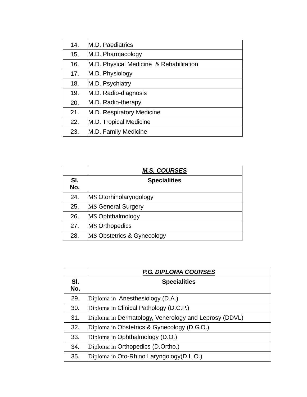| 14. | M.D. Paediatrics                        |
|-----|-----------------------------------------|
| 15. | M.D. Pharmacology                       |
| 16. | M.D. Physical Medicine & Rehabilitation |
| 17. | M.D. Physiology                         |
| 18. | M.D. Psychiatry                         |
| 19. | M.D. Radio-diagnosis                    |
| 20. | M.D. Radio-therapy                      |
| 21. | M.D. Respiratory Medicine               |
| 22. | M.D. Tropical Medicine                  |
| 23. | M.D. Family Medicine                    |

|            | <b>M.S. COURSES</b>        |
|------------|----------------------------|
| SI.<br>No. | <b>Specialities</b>        |
| 24.        | MS Otorhinolaryngology     |
| 25.        | <b>MS General Surgery</b>  |
| 26.        | MS Ophthalmology           |
| 27.        | <b>MS Orthopedics</b>      |
| 28.        | MS Obstetrics & Gynecology |

|            | <b>P.G. DIPLOMA COURSES</b>                           |
|------------|-------------------------------------------------------|
| SI.<br>No. | <b>Specialities</b>                                   |
| 29.        | Diploma in Anesthesiology (D.A.)                      |
| 30.        | Diploma in Clinical Pathology (D.C.P.)                |
| 31.        | Diploma in Dermatology, Venerology and Leprosy (DDVL) |
| 32.        | Diploma in Obstetrics & Gynecology (D.G.O.)           |
| 33.        | Diploma in Ophthalmology (D.O.)                       |
| 34.        | Diploma in Orthopedics (D.Ortho.)                     |
| 35.        | Diploma in Oto-Rhino Laryngology (D.L.O.)             |